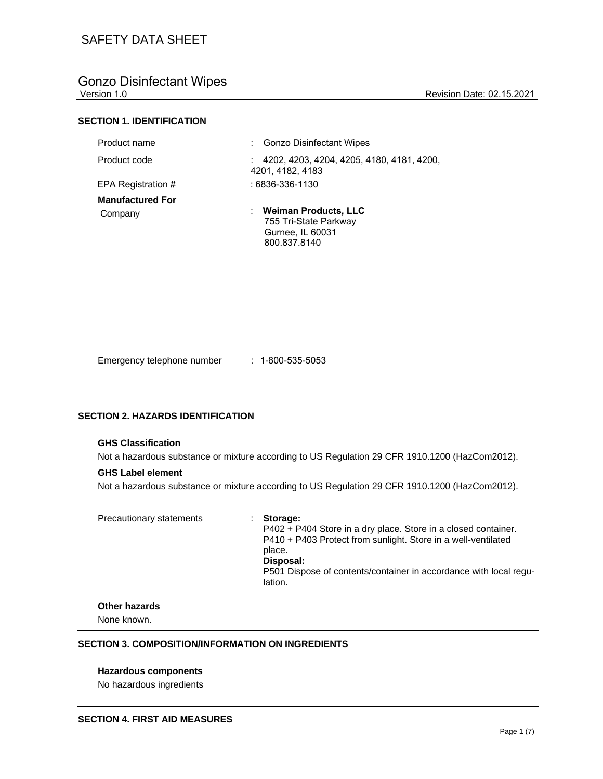# Gonzo Disinfectant Wipes<br>Version 1.0

Revision Date: 02.15.2021

# **SECTION 1. IDENTIFICATION**

| Product name            | : Gonzo Disinfectant Wipes                                    |
|-------------------------|---------------------------------------------------------------|
| Product code            | 4202, 4203, 4204, 4205, 4180, 4181, 4200,<br>4201, 4182, 4183 |
| EPA Registration #      | : 6836-336-1130                                               |
| <b>Manufactured For</b> |                                                               |
| Company                 | : Weiman Products, LLC                                        |
|                         | 755 Tri-State Parkway                                         |
|                         | Gurnee, IL 60031                                              |
|                         | 800.837.8140                                                  |

Emergency telephone number : 1-800-535-5053

#### **SECTION 2. HAZARDS IDENTIFICATION**

#### **GHS Classification**

Not a hazardous substance or mixture according to US Regulation 29 CFR 1910.1200 (HazCom2012).

#### **GHS Label element**

Not a hazardous substance or mixture according to US Regulation 29 CFR 1910.1200 (HazCom2012).

Precautionary statements : **Storage:** 

P402 + P404 Store in a dry place. Store in a closed container. P410 + P403 Protect from sunlight. Store in a well-ventilated place. **Disposal:**  P501 Dispose of contents/container in accordance with local regulation.

# **Other hazards**

None known.

### **SECTION 3. COMPOSITION/INFORMATION ON INGREDIENTS**

### **Hazardous components**

No hazardous ingredients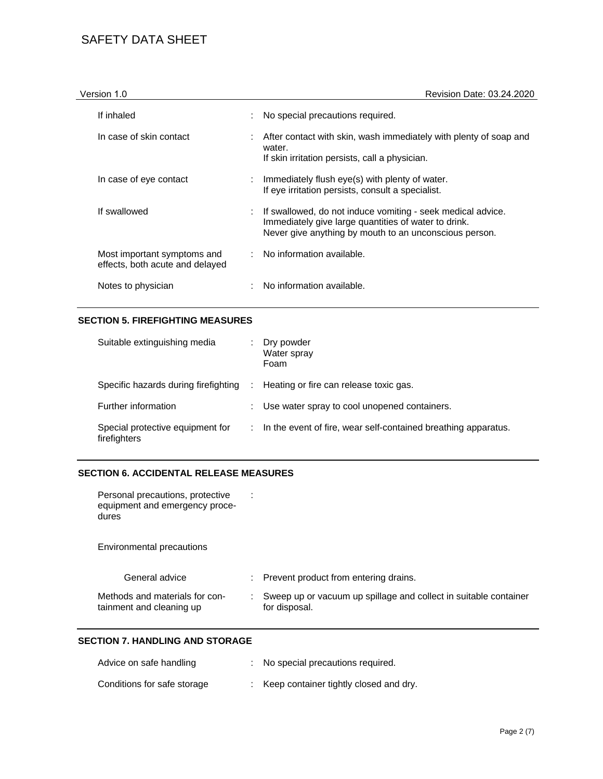| Version 1.0                                                    | Revision Date: 03.24.2020                                                                                                                                                     |
|----------------------------------------------------------------|-------------------------------------------------------------------------------------------------------------------------------------------------------------------------------|
| If inhaled                                                     | No special precautions required.                                                                                                                                              |
| In case of skin contact                                        | After contact with skin, wash immediately with plenty of soap and<br>water.<br>If skin irritation persists, call a physician.                                                 |
| In case of eye contact                                         | Immediately flush eye(s) with plenty of water.<br>If eye irritation persists, consult a specialist.                                                                           |
| If swallowed                                                   | If swallowed, do not induce vomiting - seek medical advice.<br>Immediately give large quantities of water to drink.<br>Never give anything by mouth to an unconscious person. |
| Most important symptoms and<br>effects, both acute and delayed | : No information available.                                                                                                                                                   |
| Notes to physician                                             | No information available.                                                                                                                                                     |

### **SECTION 5. FIREFIGHTING MEASURES**

| Suitable extinguishing media                     |   | Dry powder<br>Water spray<br>Foam                              |
|--------------------------------------------------|---|----------------------------------------------------------------|
| Specific hazards during firefighting             | ÷ | Heating or fire can release toxic gas.                         |
| Further information                              |   | Use water spray to cool unopened containers.                   |
| Special protective equipment for<br>firefighters |   | In the event of fire, wear self-contained breathing apparatus. |

# **SECTION 6. ACCIDENTAL RELEASE MEASURES**

| Personal precautions, protective |
|----------------------------------|
| equipment and emergency proce-   |
| dures                            |

Environmental precautions

| General advice                                             | : Prevent product from entering drains.                                             |
|------------------------------------------------------------|-------------------------------------------------------------------------------------|
| Methods and materials for con-<br>tainment and cleaning up | : Sweep up or vacuum up spillage and collect in suitable container<br>for disposal. |

# **SECTION 7. HANDLING AND STORAGE**

| Advice on safe handling     | : No special precautions required.       |
|-----------------------------|------------------------------------------|
| Conditions for safe storage | : Keep container tightly closed and dry. |

: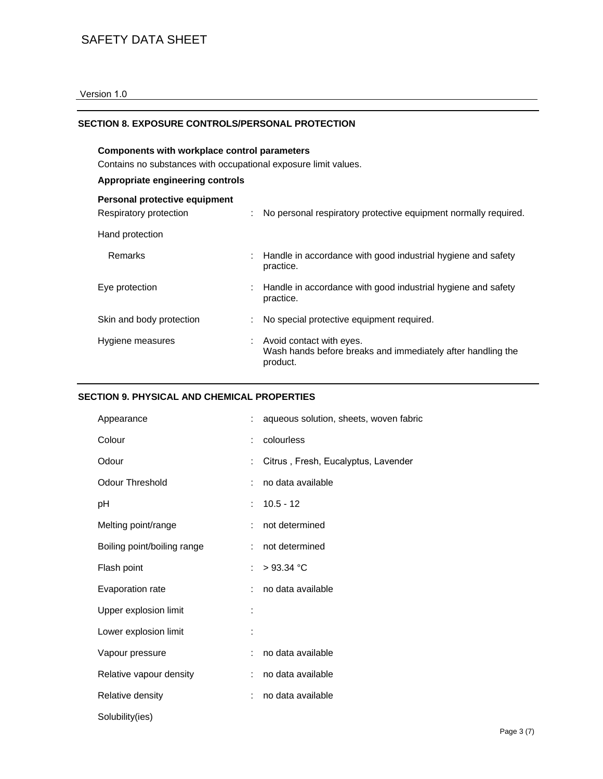### Version 1.0

### **SECTION 8. EXPOSURE CONTROLS/PERSONAL PROTECTION**

# **Components with workplace control parameters** Contains no substances with occupational exposure limit values.

# **Appropriate engineering controls**

| Personal protective equipment<br>Respiratory protection | No personal respiratory protective equipment normally required.                                       |
|---------------------------------------------------------|-------------------------------------------------------------------------------------------------------|
| Hand protection                                         |                                                                                                       |
| <b>Remarks</b>                                          | Handle in accordance with good industrial hygiene and safety<br>practice.                             |
| Eye protection                                          | Handle in accordance with good industrial hygiene and safety<br>practice.                             |
| Skin and body protection                                | No special protective equipment required.                                                             |
| Hygiene measures                                        | : Avoid contact with eyes.<br>Wash hands before breaks and immediately after handling the<br>product. |

### **SECTION 9. PHYSICAL AND CHEMICAL PROPERTIES**

| Appearance                  |    | aqueous solution, sheets, woven fabric |
|-----------------------------|----|----------------------------------------|
| Colour                      |    | colourless                             |
| Odour                       |    | Citrus, Fresh, Eucalyptus, Lavender    |
| Odour Threshold             |    | no data available                      |
| рH                          |    | $10.5 - 12$                            |
| Melting point/range         | t. | not determined                         |
| Boiling point/boiling range | ÷  | not determined                         |
| Flash point                 | t. | $>93.34$ °C                            |
| Evaporation rate            |    | no data available                      |
| Upper explosion limit       |    |                                        |
| Lower explosion limit       |    |                                        |
| Vapour pressure             | t. | no data available                      |
| Relative vapour density     | t. | no data available                      |
| Relative density            | ÷. | no data available                      |
| Solubility(ies)             |    |                                        |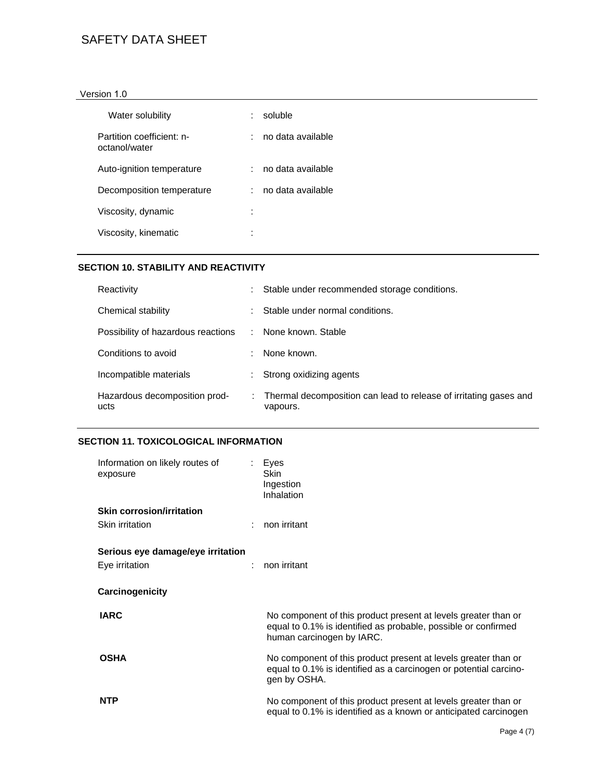### Version 1.0

| Water solubility                           | soluble           |
|--------------------------------------------|-------------------|
| Partition coefficient: n-<br>octanol/water | no data available |
| Auto-ignition temperature                  | no data available |
| Decomposition temperature                  | no data available |
| Viscosity, dynamic                         | ٠<br>٠            |
| Viscosity, kinematic                       | ٠                 |

# **SECTION 10. STABILITY AND REACTIVITY**

| Reactivity                            |    | Stable under recommended storage conditions.                                  |
|---------------------------------------|----|-------------------------------------------------------------------------------|
| Chemical stability                    |    | Stable under normal conditions.                                               |
| Possibility of hazardous reactions    | ÷. | None known. Stable                                                            |
| Conditions to avoid                   |    | None known.                                                                   |
| Incompatible materials                |    | Strong oxidizing agents                                                       |
| Hazardous decomposition prod-<br>ucts |    | Thermal decomposition can lead to release of irritating gases and<br>vapours. |

# **SECTION 11. TOXICOLOGICAL INFORMATION**

| Information on likely routes of<br>exposure | Eyes<br>Skin<br>Ingestion<br>Inhalation                                                                                                                       |
|---------------------------------------------|---------------------------------------------------------------------------------------------------------------------------------------------------------------|
| <b>Skin corrosion/irritation</b>            |                                                                                                                                                               |
| Skin irritation                             | non irritant                                                                                                                                                  |
| Serious eye damage/eye irritation           |                                                                                                                                                               |
| Eye irritation                              | non irritant                                                                                                                                                  |
| Carcinogenicity                             |                                                                                                                                                               |
| <b>IARC</b>                                 | No component of this product present at levels greater than or<br>equal to 0.1% is identified as probable, possible or confirmed<br>human carcinogen by IARC. |
| <b>OSHA</b>                                 | No component of this product present at levels greater than or<br>equal to 0.1% is identified as a carcinogen or potential carcino-<br>gen by OSHA.           |
| <b>NTP</b>                                  | No component of this product present at levels greater than or<br>equal to 0.1% is identified as a known or anticipated carcinogen                            |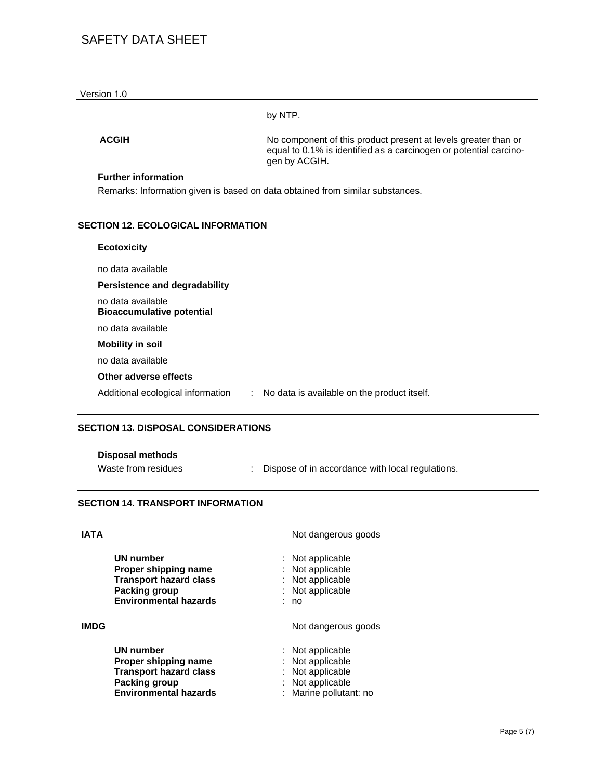by NTP.

**ACGIH** No component of this product present at levels greater than or equal to 0.1% is identified as a carcinogen or potential carcinogen by ACGIH.

### **Further information**

Remarks: Information given is based on data obtained from similar substances.

### **SECTION 12. ECOLOGICAL INFORMATION**

# **Ecotoxicity**  no data available **Persistence and degradability**  no data available **Bioaccumulative potential**  no data available **Mobility in soil**  no data available **Other adverse effects**  Additional ecological information : No data is available on the product itself.

### **SECTION 13. DISPOSAL CONSIDERATIONS**

| <b>Disposal methods</b> |  |
|-------------------------|--|
|-------------------------|--|

Waste from residues : Dispose of in accordance with local regulations.

### **SECTION 14. TRANSPORT INFORMATION**

### **IATA** Not dangerous goods

|      | UN number<br>Proper shipping name<br><b>Transport hazard class</b><br><b>Packing group</b><br><b>Environmental hazards</b> | : Not applicable<br>: Not applicable<br>: Not applicable<br>: Not applicable<br>: no                 |  |
|------|----------------------------------------------------------------------------------------------------------------------------|------------------------------------------------------------------------------------------------------|--|
| IMDG |                                                                                                                            | Not dangerous goods                                                                                  |  |
|      | UN number<br>Proper shipping name<br><b>Transport hazard class</b><br>Packing group<br><b>Environmental hazards</b>        | : Not applicable<br>: Not applicable<br>: Not applicable<br>: Not applicable<br>Marine pollutant: no |  |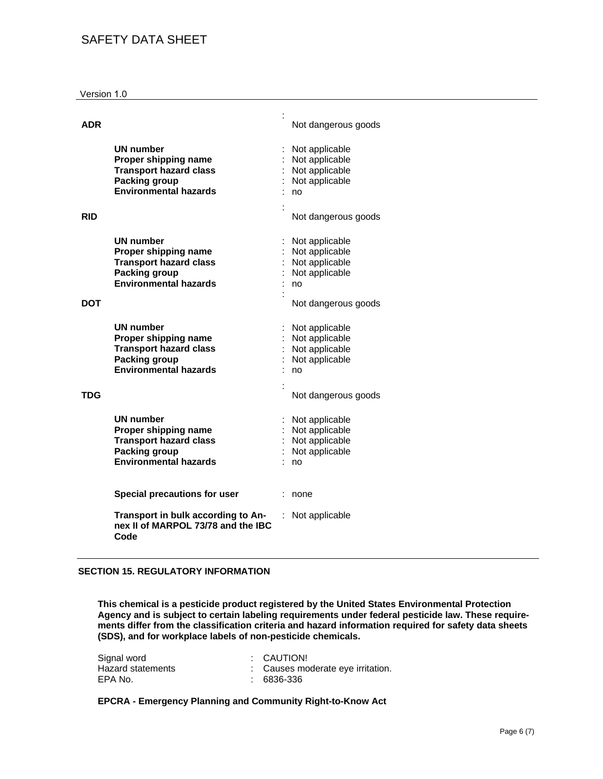#### Version 1.0

| ADR |                                                                                                                            | Not dangerous goods                                                                               |
|-----|----------------------------------------------------------------------------------------------------------------------------|---------------------------------------------------------------------------------------------------|
| RID | <b>UN number</b><br>Proper shipping name<br><b>Transport hazard class</b><br>Packing group<br><b>Environmental hazards</b> | Not applicable<br>Not applicable<br>Not applicable<br>Not applicable<br>no<br>Not dangerous goods |
| DOT | UN number<br>Proper shipping name<br><b>Transport hazard class</b><br><b>Packing group</b><br><b>Environmental hazards</b> | Not applicable<br>Not applicable<br>Not applicable<br>Not applicable<br>no<br>Not dangerous goods |
|     | UN number<br>Proper shipping name<br><b>Transport hazard class</b><br><b>Packing group</b><br><b>Environmental hazards</b> | Not applicable<br>Not applicable<br>Not applicable<br>Not applicable<br>no                        |
| TDG | UN number<br>Proper shipping name<br><b>Transport hazard class</b><br><b>Packing group</b><br><b>Environmental hazards</b> | Not dangerous goods<br>Not applicable<br>Not applicable<br>Not applicable<br>Not applicable<br>no |
|     | <b>Special precautions for user</b>                                                                                        | none                                                                                              |
|     | Transport in bulk according to An-<br>nex II of MARPOL 73/78 and the IBC<br>Code                                           | Not applicable                                                                                    |

#### **SECTION 15. REGULATORY INFORMATION**

**This chemical is a pesticide product registered by the United States Environmental Protection Agency and is subject to certain labeling requirements under federal pesticide law. These requirements differ from the classification criteria and hazard information required for safety data sheets (SDS), and for workplace labels of non-pesticide chemicals.** 

| Signal word       | : CAUTION!                        |
|-------------------|-----------------------------------|
| Hazard statements | : Causes moderate eye irritation. |
| EPA No.           | : 6836-336                        |

**EPCRA - Emergency Planning and Community Right-to-Know Act**